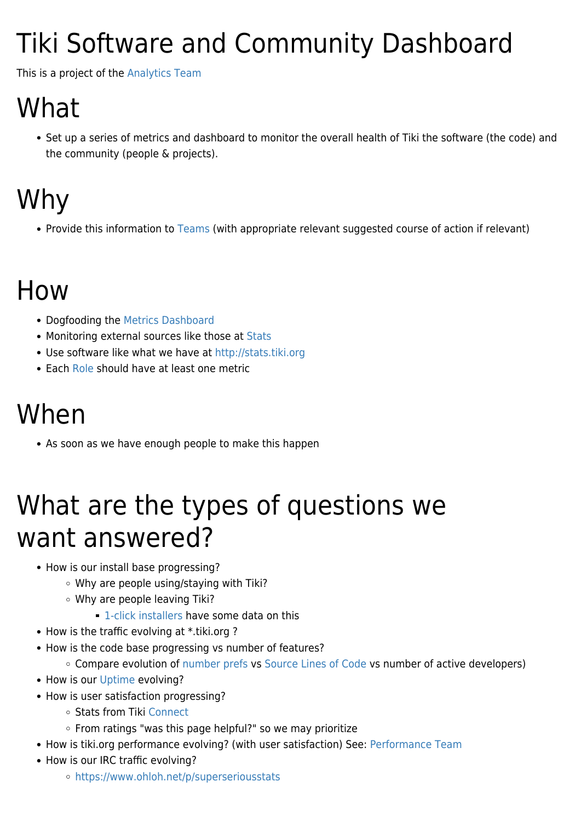# Tiki Software and Community Dashboard

This is a project of the [Analytics Team](https://tiki.org/Analytics-Team)

## What

Set up a series of metrics and dashboard to monitor the overall health of Tiki the software (the code) and the community (people & projects).

## Why

• Provide this information to [Teams](https://tiki.org/Teams) (with appropriate relevant suggested course of action if relevant)

#### How

- Dogfooding the [Metrics Dashboard](http://doc.tiki.org/Metrics%20Dashboard)
- Monitoring external sources like those at [Stats](https://tiki.org/Stats)
- Use software like what we have at <http://stats.tiki.org>
- Each [Role](https://tiki.org/Teams) should have at least one metric

#### When

As soon as we have enough people to make this happen

### What are the types of questions we want answered?

- How is our install base progressing?
	- Why are people using/staying with Tiki?
	- Why are people leaving Tiki?
		- **[1-click installers](https://tiki.org/1-click-installers) have some data on this**
- How is the traffic evolving at \*.tiki.org ?
- How is the code base progressing vs number of features?
	- Compare evolution of [number prefs](http://dev.tiki.org/Preferences%20report) vs [Source Lines of Code](http://dev.tiki.org/Source%20Lines%20of%20Code) vs number of active developers)
- How is our [Uptime](https://tiki.org/Uptime) evolving?
- How is user satisfaction progressing?
	- Stats from Tiki [Connect](http://dev.tiki.org/Connect)
	- From ratings "was this page helpful?" so we may prioritize
- How is tiki.org performance evolving? (with user satisfaction) See: [Performance Team](https://tiki.org/Performance-Team)
- How is our IRC traffic evolving?
	- <https://www.ohloh.net/p/superseriousstats>